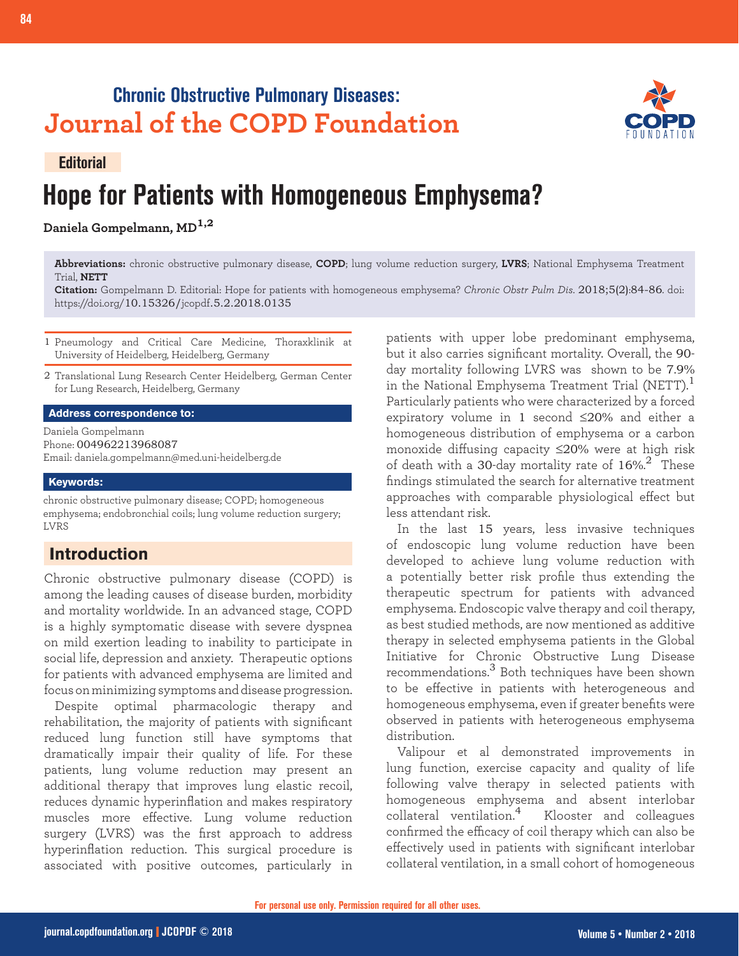# **Chronic Obstructive Pulmonary Diseases: Journal of the COPD Foundation**



#### **Editorial**

# **Hope for Patients with Homogeneous Emphysema?**

**Daniela Gompelmann, MD1,2**

**Abbreviations:** chronic obstructive pulmonary disease, **COPD**; lung volume reduction surgery, **LVRS**; National Emphysema Treatment Trial, **NETT**

**Citation:** Gompelmann D. Editorial: Hope for patients with homogeneous emphysema? *Chronic Obstr Pulm Dis*. 2018;5(2):84-86. doi: https://doi.org/10.15326/jcopdf.5.2.2018.0135

- 1 Pneumology and Critical Care Medicine, Thoraxklinik at University of Heidelberg, Heidelberg, Germany
- 2 Translational Lung Research Center Heidelberg, German Center for Lung Research, Heidelberg, Germany

#### **Address correspondence to:**

Daniela Gompelmann Phone: 004962213968087 Email: daniela.gompelmann@med.uni-heidelberg.de

#### **Keywords:**

chronic obstructive pulmonary disease; COPD; homogeneous emphysema; endobronchial coils; lung volume reduction surgery; LVRS

## **Introduction**

Chronic obstructive pulmonary disease (COPD) is among the leading causes of disease burden, morbidity and mortality worldwide. In an advanced stage, COPD is a highly symptomatic disease with severe dyspnea on mild exertion leading to inability to participate in social life, depression and anxiety. Therapeutic options for patients with advanced emphysema are limited and focus on minimizing symptoms and disease progression.

Despite optimal pharmacologic therapy and rehabilitation, the majority of patients with significant reduced lung function still have symptoms that dramatically impair their quality of life. For these patients, lung volume reduction may present an additional therapy that improves lung elastic recoil, reduces dynamic hyperinflation and makes respiratory muscles more effective. Lung volume reduction surgery (LVRS) was the first approach to address hyperinflation reduction. This surgical procedure is associated with positive outcomes, particularly in

patients with upper lobe predominant emphysema, but it also carries significant mortality. Overall, the 90 day mortality following LVRS was shown to be 7.9% in the National Emphysema Treatment Trial (NETT). $^{\rm 1}$ Particularly patients who were characterized by a forced expiratory volume in 1 second ≤20% and either a homogeneous distribution of emphysema or a carbon monoxide diffusing capacity ≤20% were at high risk of death with a 30-day mortality rate of  $16\%^{2}$  These findings stimulated the search for alternative treatment approaches with comparable physiological effect but less attendant risk.

In the last 15 years, less invasive techniques of endoscopic lung volume reduction have been developed to achieve lung volume reduction with a potentially better risk profile thus extending the therapeutic spectrum for patients with advanced emphysema. Endoscopic valve therapy and coil therapy, as best studied methods, are now mentioned as additive therapy in selected emphysema patients in the Global Initiative for Chronic Obstructive Lung Disease recommendations.3 Both techniques have been shown to be effective in patients with heterogeneous and homogeneous emphysema, even if greater benefits were observed in patients with heterogeneous emphysema distribution.

Valipour et al demonstrated improvements in lung function, exercise capacity and quality of life following valve therapy in selected patients with homogeneous emphysema and absent interlobar collateral ventilation.4 Klooster and colleagues confirmed the efficacy of coil therapy which can also be effectively used in patients with significant interlobar collateral ventilation, in a small cohort of homogeneous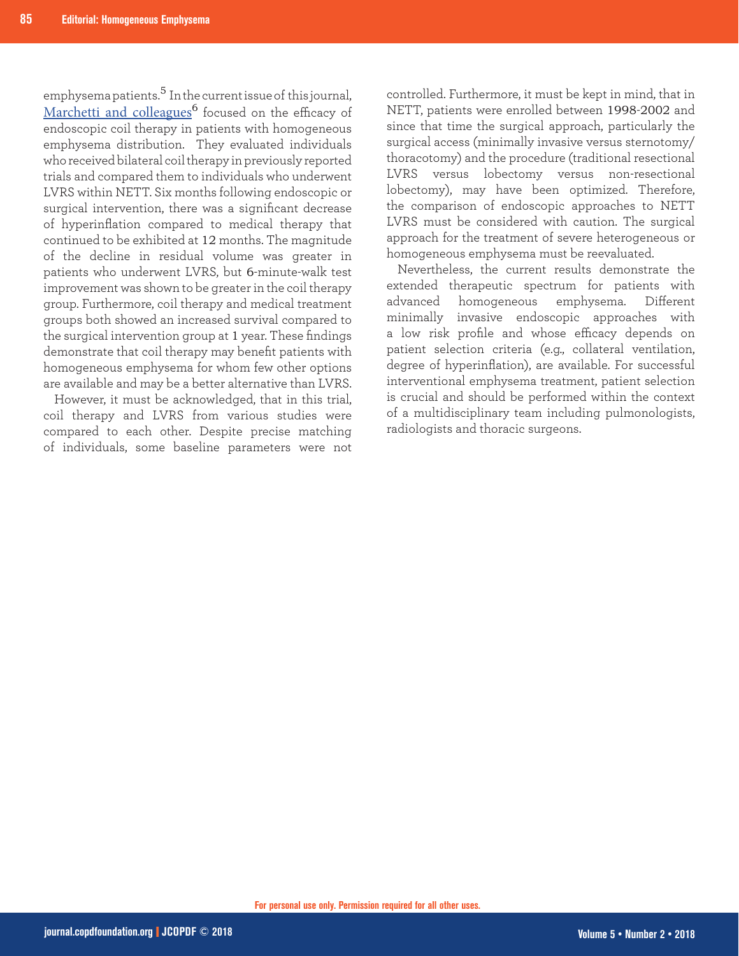emphysema patients.<sup>5</sup> In the current issue of this journal, [Marchetti and colleagues](https://journal.copdfoundation.org/jcopdf/id/1186/Endobronchial-Coils-Versus-Lung-Volume-Reduction-Surgery-or-Medical-Therapy-for-Treatment-of-Advanced-Homogenous-Emphysema)<sup>6</sup> focused on the efficacy of endoscopic coil therapy in patients with homogeneous emphysema distribution. They evaluated individuals who received bilateral coil therapy in previously reported trials and compared them to individuals who underwent LVRS within NETT. Six months following endoscopic or surgical intervention, there was a significant decrease of hyperinflation compared to medical therapy that continued to be exhibited at 12 months. The magnitude of the decline in residual volume was greater in patients who underwent LVRS, but 6-minute-walk test improvement was shown to be greater in the coil therapy group. Furthermore, coil therapy and medical treatment groups both showed an increased survival compared to the surgical intervention group at 1 year. These findings demonstrate that coil therapy may benefit patients with homogeneous emphysema for whom few other options are available and may be a better alternative than LVRS.

However, it must be acknowledged, that in this trial, coil therapy and LVRS from various studies were compared to each other. Despite precise matching of individuals, some baseline parameters were not

controlled. Furthermore, it must be kept in mind, that in NETT, patients were enrolled between 1998-2002 and since that time the surgical approach, particularly the surgical access (minimally invasive versus sternotomy/ thoracotomy) and the procedure (traditional resectional LVRS versus lobectomy versus non-resectional lobectomy), may have been optimized. Therefore, the comparison of endoscopic approaches to NETT LVRS must be considered with caution. The surgical approach for the treatment of severe heterogeneous or homogeneous emphysema must be reevaluated.

Nevertheless, the current results demonstrate the extended therapeutic spectrum for patients with advanced homogeneous emphysema. Different minimally invasive endoscopic approaches with a low risk profile and whose efficacy depends on patient selection criteria (e.g., collateral ventilation, degree of hyperinflation), are available. For successful interventional emphysema treatment, patient selection is crucial and should be performed within the context of a multidisciplinary team including pulmonologists, radiologists and thoracic surgeons.